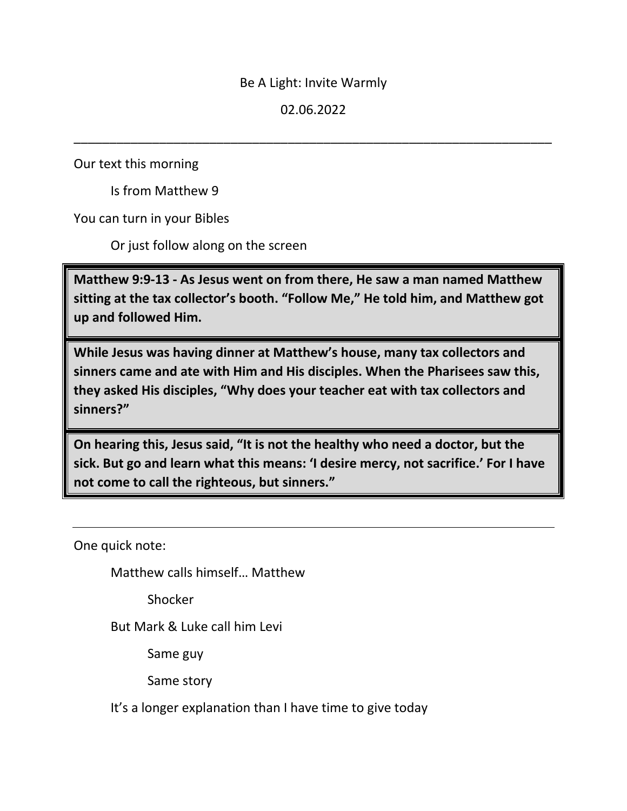## Be A Light: Invite Warmly

# 02.06.2022

\_\_\_\_\_\_\_\_\_\_\_\_\_\_\_\_\_\_\_\_\_\_\_\_\_\_\_\_\_\_\_\_\_\_\_\_\_\_\_\_\_\_\_\_\_\_\_\_\_\_\_\_\_\_\_\_\_\_\_\_\_\_\_\_\_\_\_

Our text this morning

Is from Matthew 9

You can turn in your Bibles

Or just follow along on the screen

**Matthew 9:9-13 - As Jesus went on from there, He saw a man named Matthew sitting at the tax collector's booth. "Follow Me," He told him, and Matthew got up and followed Him.** 

**While Jesus was having dinner at Matthew's house, many tax collectors and sinners came and ate with Him and His disciples. When the Pharisees saw this, they asked His disciples, "Why does your teacher eat with tax collectors and sinners?"** 

**On hearing this, Jesus said, "It is not the healthy who need a doctor, but the sick. But go and learn what this means: 'I desire mercy, not sacrifice.' For I have not come to call the righteous, but sinners."**

One quick note:

Matthew calls himself… Matthew

Shocker

But Mark & Luke call him Levi

Same guy

Same story

It's a longer explanation than I have time to give today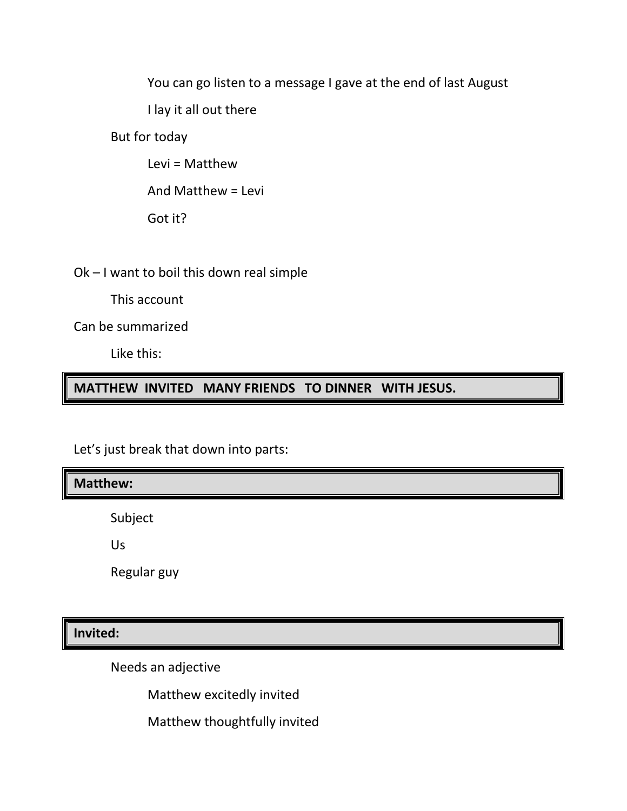You can go listen to a message I gave at the end of last August

I lay it all out there

But for today

Levi = Matthew

And Matthew = Levi

Got it?

Ok – I want to boil this down real simple

This account

Can be summarized

Like this:

**MATTHEW INVITED MANY FRIENDS TO DINNER WITH JESUS.**

Let's just break that down into parts:

**Matthew:**

Subject

Us

Regular guy

**Invited:**

Needs an adjective

Matthew excitedly invited

Matthew thoughtfully invited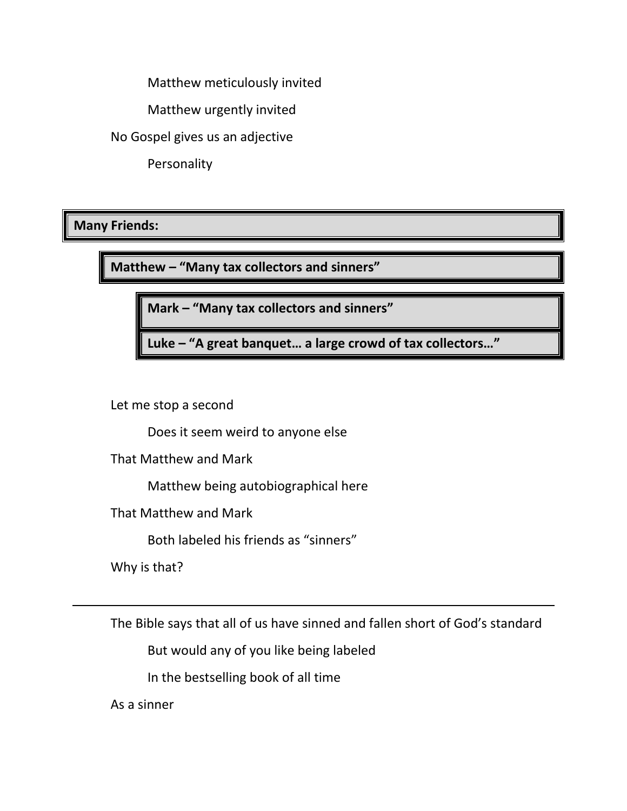Matthew meticulously invited

Matthew urgently invited

No Gospel gives us an adjective

Personality

# **Many Friends:**

**Matthew – "Many tax collectors and sinners"**

**Mark – "Many tax collectors and sinners"**

**Luke – "A great banquet… a large crowd of tax collectors…"**

Let me stop a second

Does it seem weird to anyone else

That Matthew and Mark

Matthew being autobiographical here

That Matthew and Mark

Both labeled his friends as "sinners"

Why is that?

The Bible says that all of us have sinned and fallen short of God's standard

But would any of you like being labeled

In the bestselling book of all time

As a sinner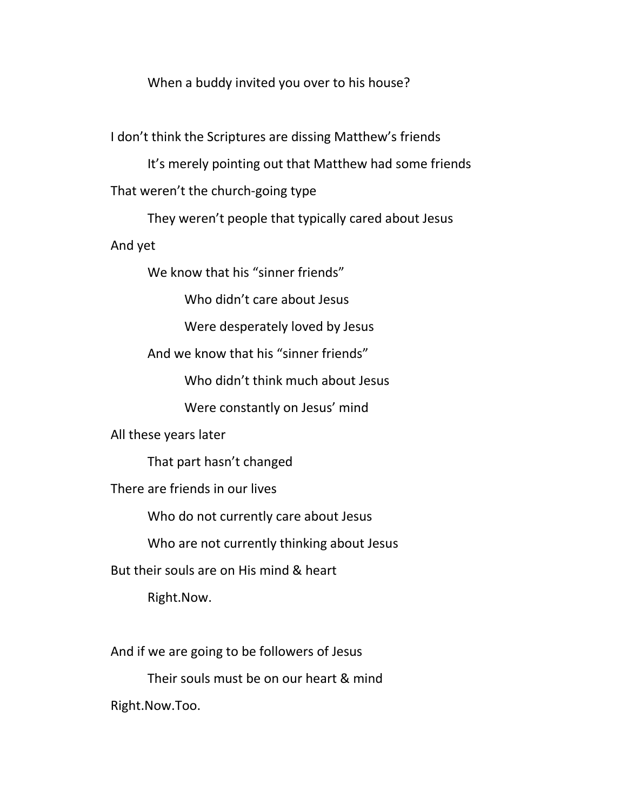When a buddy invited you over to his house?

I don't think the Scriptures are dissing Matthew's friends

It's merely pointing out that Matthew had some friends That weren't the church-going type

They weren't people that typically cared about Jesus And yet

We know that his "sinner friends"

Who didn't care about Jesus

Were desperately loved by Jesus

And we know that his "sinner friends"

Who didn't think much about Jesus

Were constantly on Jesus' mind

All these years later

That part hasn't changed

There are friends in our lives

Who do not currently care about Jesus

Who are not currently thinking about Jesus

But their souls are on His mind & heart

Right.Now.

And if we are going to be followers of Jesus

Their souls must be on our heart & mind Right.Now.Too.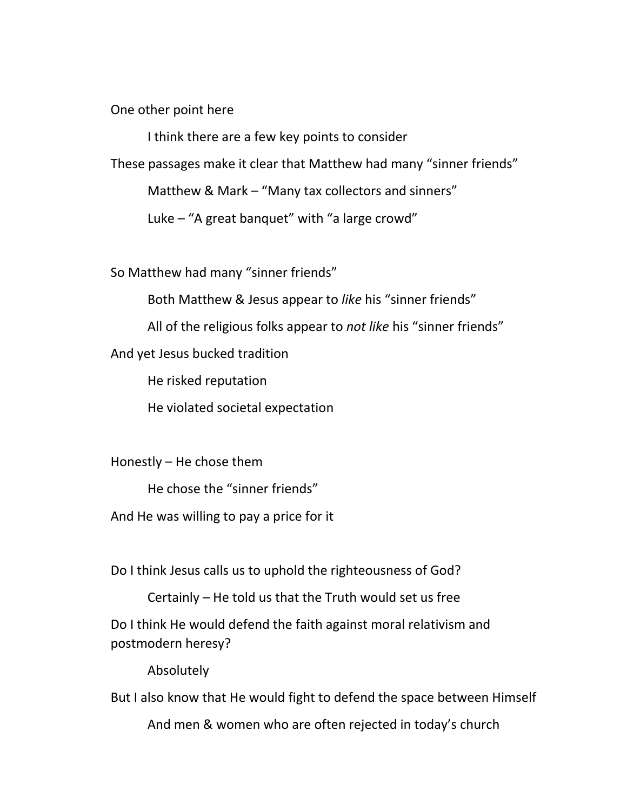One other point here

I think there are a few key points to consider

These passages make it clear that Matthew had many "sinner friends"

Matthew & Mark – "Many tax collectors and sinners"

Luke – "A great banquet" with "a large crowd"

So Matthew had many "sinner friends"

Both Matthew & Jesus appear to *like* his "sinner friends"

All of the religious folks appear to *not like* his "sinner friends"

And yet Jesus bucked tradition

He risked reputation

He violated societal expectation

Honestly – He chose them

He chose the "sinner friends"

And He was willing to pay a price for it

Do I think Jesus calls us to uphold the righteousness of God?

Certainly – He told us that the Truth would set us free Do I think He would defend the faith against moral relativism and postmodern heresy?

Absolutely

But I also know that He would fight to defend the space between Himself

And men & women who are often rejected in today's church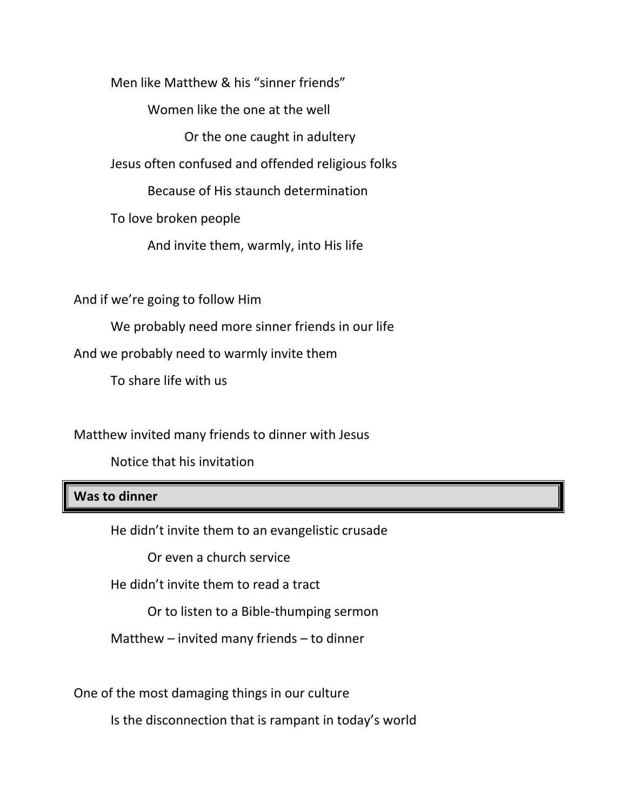Men like Matthew & his "sinner friends"

Women like the one at the well

Or the one caught in adultery

Jesus often confused and offended religious folks

Because of His staunch determination

To love broken people

And invite them, warmly, into His life

And if we're going to follow Him

We probably need more sinner friends in our life

And we probably need to warmly invite them

To share life with us

Matthew invited many friends to dinner with Jesus

Notice that his invitation

#### **Was to dinner**

He didn't invite them to an evangelistic crusade

Or even a church service

He didn't invite them to read a tract

Or to listen to a Bible-thumping sermon

Matthew – invited many friends – to dinner

One of the most damaging things in our culture

Is the disconnection that is rampant in today's world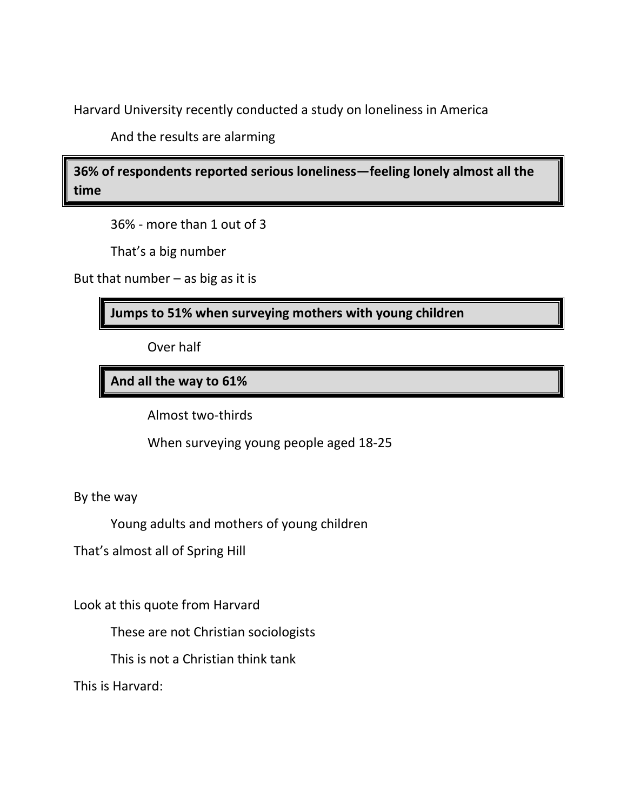Harvard University recently conducted a study on loneliness in America

And the results are alarming

**36% of respondents reported serious loneliness—feeling lonely almost all the time** 

36% - more than 1 out of 3

That's a big number

But that number – as big as it is

**Jumps to 51% when surveying mothers with young children**

Over half

**And all the way to 61%** 

Almost two-thirds

When surveying young people aged 18-25

By the way

Young adults and mothers of young children

That's almost all of Spring Hill

Look at this quote from Harvard

These are not Christian sociologists

This is not a Christian think tank

This is Harvard: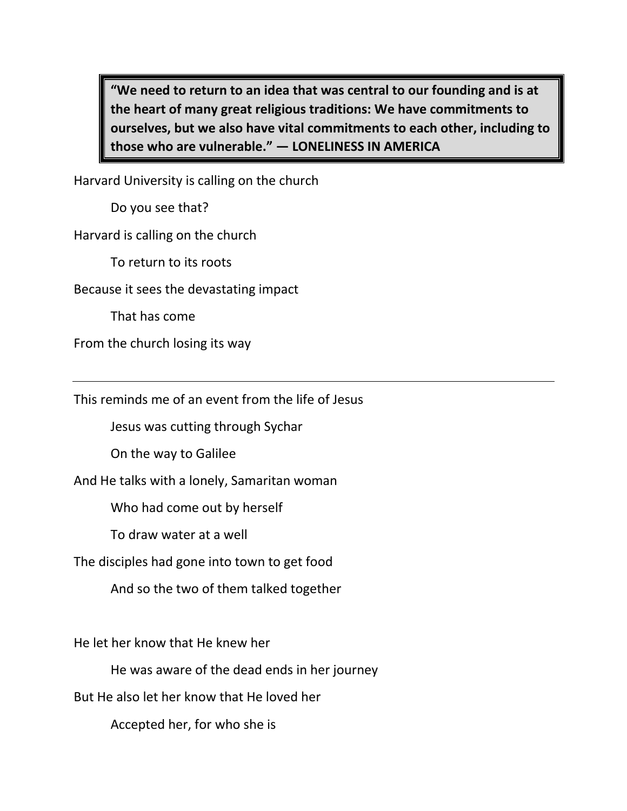**"We need to return to an idea that was central to our founding and is at the heart of many great religious traditions: We have commitments to ourselves, but we also have vital commitments to each other, including to those who are vulnerable." — LONELINESS IN AMERICA**

Harvard University is calling on the church

Do you see that?

Harvard is calling on the church

To return to its roots

Because it sees the devastating impact

That has come

From the church losing its way

This reminds me of an event from the life of Jesus

Jesus was cutting through Sychar

On the way to Galilee

And He talks with a lonely, Samaritan woman

Who had come out by herself

To draw water at a well

The disciples had gone into town to get food

And so the two of them talked together

He let her know that He knew her

He was aware of the dead ends in her journey

But He also let her know that He loved her

Accepted her, for who she is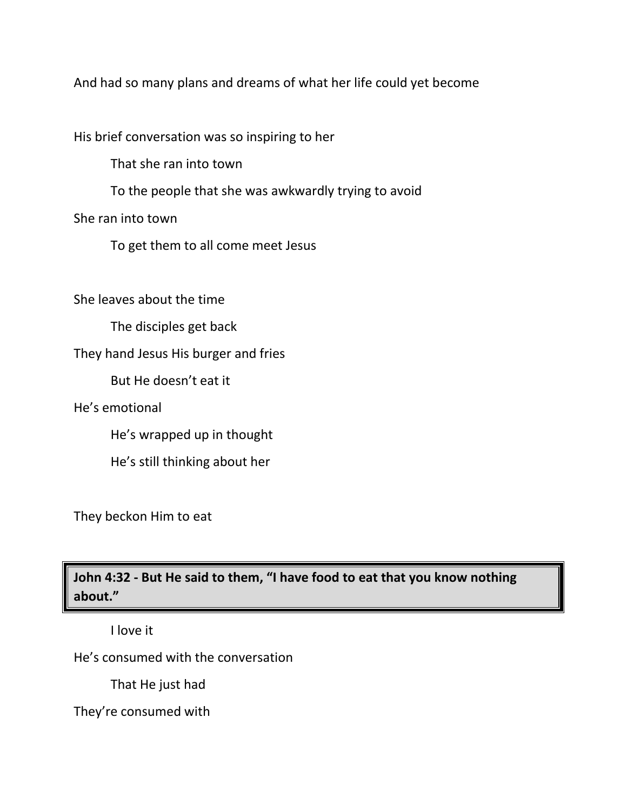And had so many plans and dreams of what her life could yet become

His brief conversation was so inspiring to her

That she ran into town

To the people that she was awkwardly trying to avoid

She ran into town

To get them to all come meet Jesus

She leaves about the time

The disciples get back

They hand Jesus His burger and fries

But He doesn't eat it

He's emotional

He's wrapped up in thought

He's still thinking about her

They beckon Him to eat

**John 4:32 - But He said to them, "I have food to eat that you know nothing about."**

I love it

He's consumed with the conversation

That He just had

They're consumed with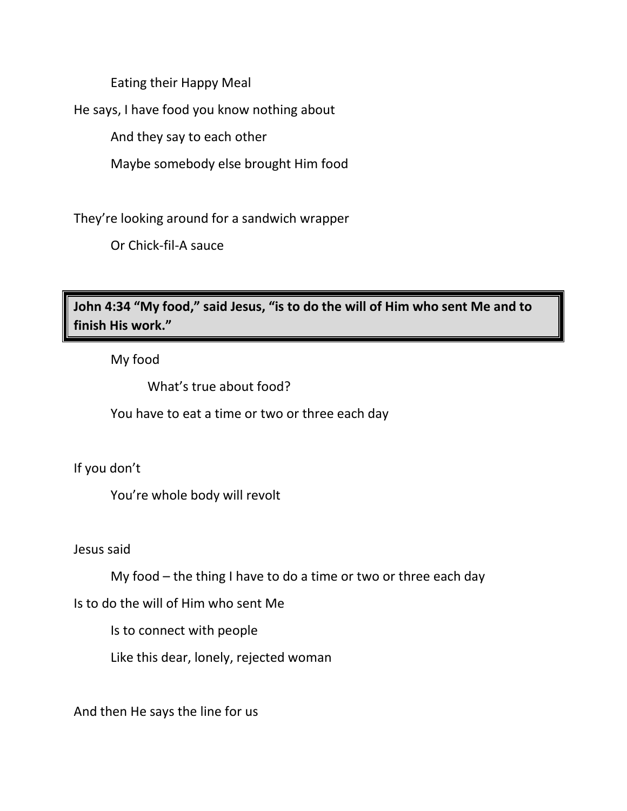Eating their Happy Meal

He says, I have food you know nothing about

And they say to each other

Maybe somebody else brought Him food

They're looking around for a sandwich wrapper

Or Chick-fil-A sauce

**John 4:34 "My food," said Jesus, "is to do the will of Him who sent Me and to finish His work."**

My food

What's true about food?

You have to eat a time or two or three each day

If you don't

You're whole body will revolt

Jesus said

My food – the thing I have to do a time or two or three each day

Is to do the will of Him who sent Me

Is to connect with people

Like this dear, lonely, rejected woman

And then He says the line for us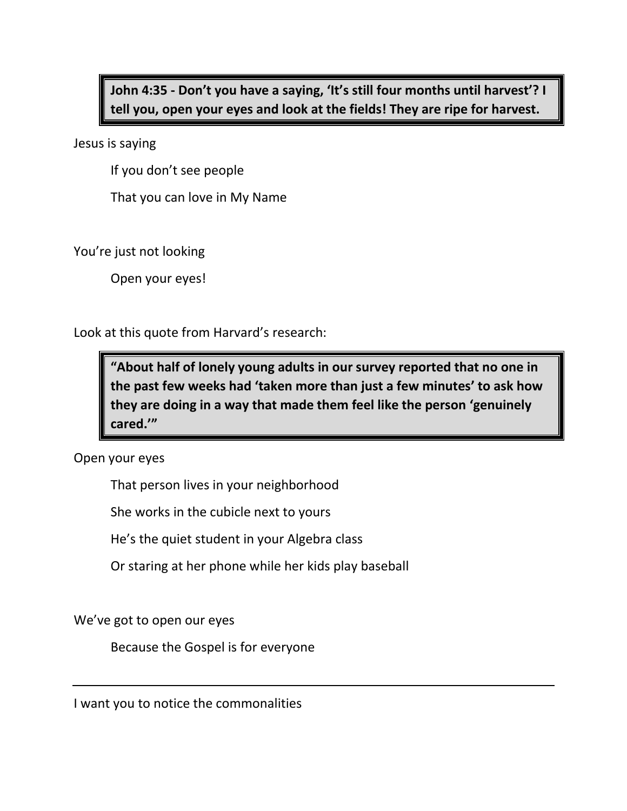**John 4:35 - Don't you have a saying, 'It's still four months until harvest'? I tell you, open your eyes and look at the fields! They are ripe for harvest.**

Jesus is saying

If you don't see people

That you can love in My Name

You're just not looking

Open your eyes!

Look at this quote from Harvard's research:

**"About half of lonely young adults in our survey reported that no one in the past few weeks had 'taken more than just a few minutes' to ask how they are doing in a way that made them feel like the person 'genuinely cared.'"**

Open your eyes

That person lives in your neighborhood

She works in the cubicle next to yours

He's the quiet student in your Algebra class

Or staring at her phone while her kids play baseball

We've got to open our eyes

Because the Gospel is for everyone

I want you to notice the commonalities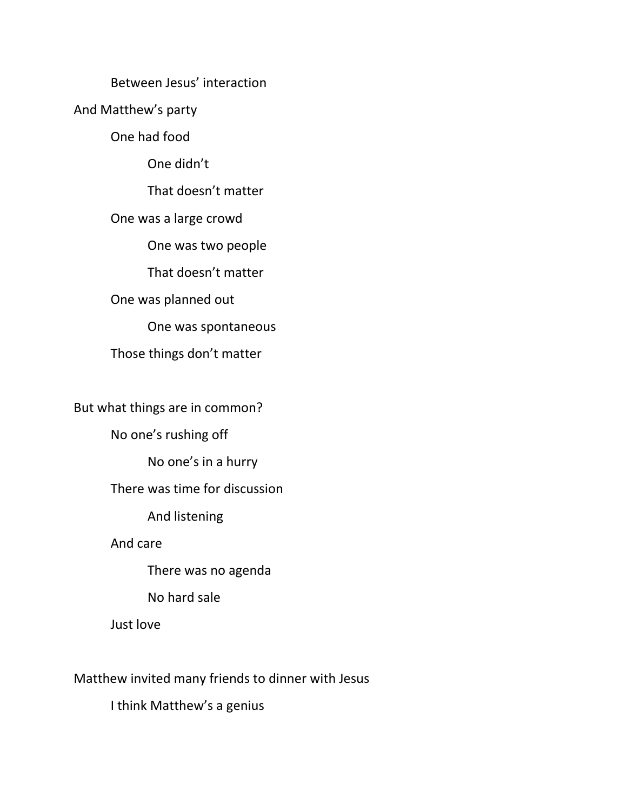# Between Jesus' interaction

And Matthew's party

One had food

One didn't

That doesn't matter

One was a large crowd

One was two people

That doesn't matter

One was planned out

One was spontaneous

Those things don't matter

But what things are in common?

No one's rushing off

No one's in a hurry

There was time for discussion

And listening

And care

There was no agenda

No hard sale

Just love

Matthew invited many friends to dinner with Jesus

I think Matthew's a genius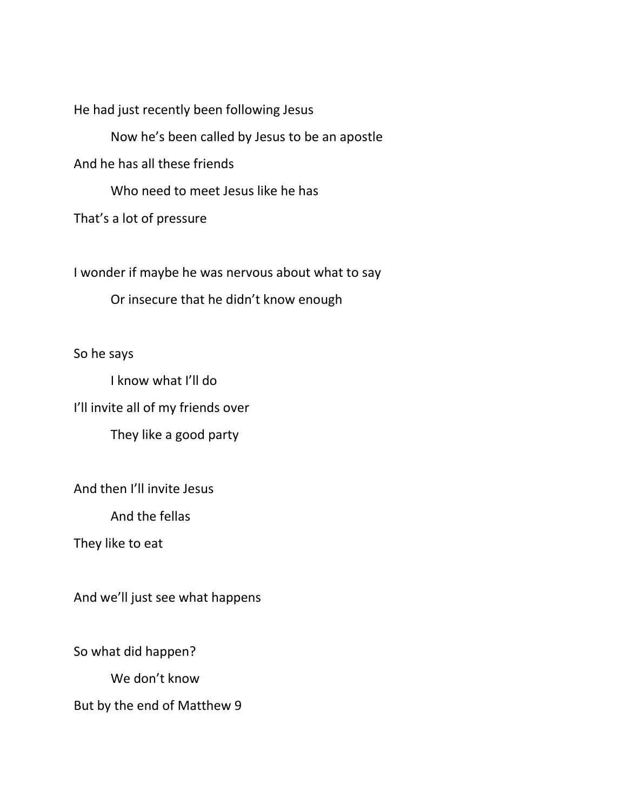He had just recently been following Jesus

Now he's been called by Jesus to be an apostle

And he has all these friends

Who need to meet Jesus like he has

That's a lot of pressure

I wonder if maybe he was nervous about what to say

Or insecure that he didn't know enough

So he says

I know what I'll do I'll invite all of my friends over They like a good party

And then I'll invite Jesus

And the fellas

They like to eat

And we'll just see what happens

So what did happen?

We don't know

But by the end of Matthew 9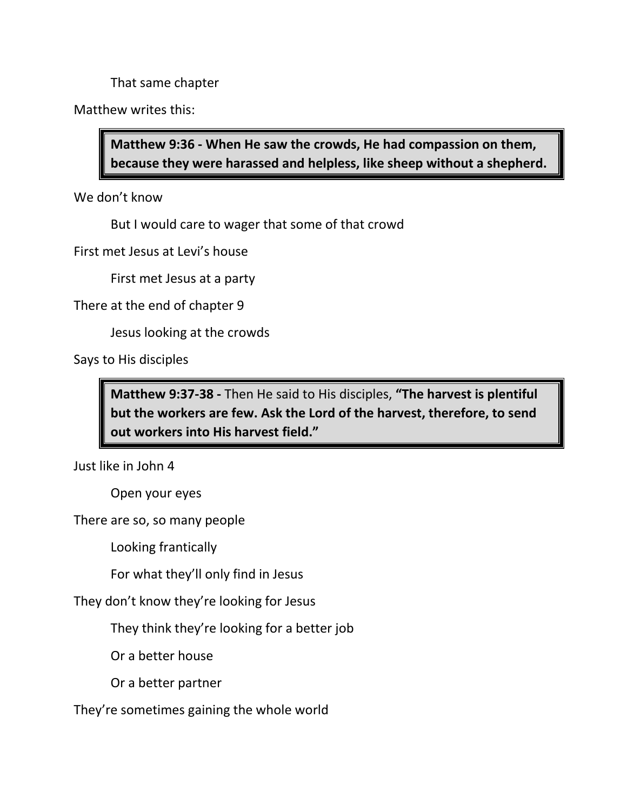That same chapter

Matthew writes this:

**Matthew 9:36 - When He saw the crowds, He had compassion on them, because they were harassed and helpless, like sheep without a shepherd.** 

We don't know

But I would care to wager that some of that crowd

First met Jesus at Levi's house

First met Jesus at a party

There at the end of chapter 9

Jesus looking at the crowds

Says to His disciples

**Matthew 9:37-38 -** Then He said to His disciples, **"The harvest is plentiful but the workers are few. Ask the Lord of the harvest, therefore, to send out workers into His harvest field."**

Just like in John 4

Open your eyes

There are so, so many people

Looking frantically

For what they'll only find in Jesus

They don't know they're looking for Jesus

They think they're looking for a better job

Or a better house

Or a better partner

They're sometimes gaining the whole world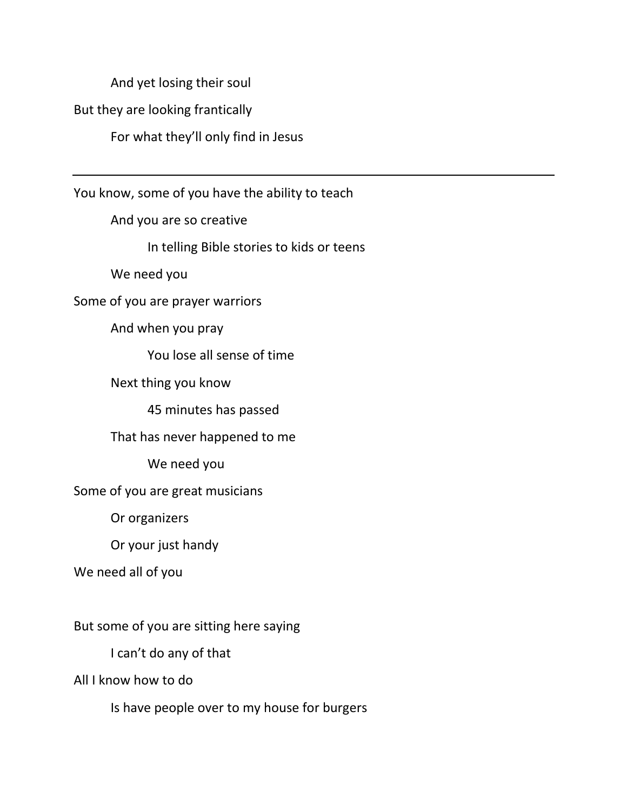And yet losing their soul

But they are looking frantically

For what they'll only find in Jesus

You know, some of you have the ability to teach

And you are so creative

In telling Bible stories to kids or teens

We need you

Some of you are prayer warriors

And when you pray

You lose all sense of time

Next thing you know

45 minutes has passed

That has never happened to me

We need you

Some of you are great musicians

Or organizers

Or your just handy

We need all of you

But some of you are sitting here saying

I can't do any of that

All I know how to do

Is have people over to my house for burgers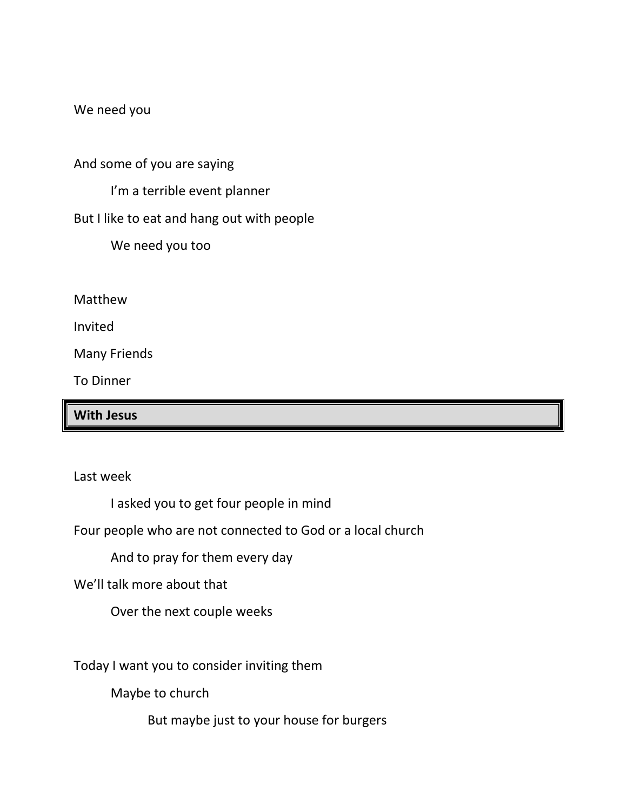We need you

And some of you are saying

I'm a terrible event planner

But I like to eat and hang out with people

We need you too

Matthew

Invited

Many Friends

To Dinner

**With Jesus**

Last week

I asked you to get four people in mind

Four people who are not connected to God or a local church

And to pray for them every day

We'll talk more about that

Over the next couple weeks

Today I want you to consider inviting them

Maybe to church

But maybe just to your house for burgers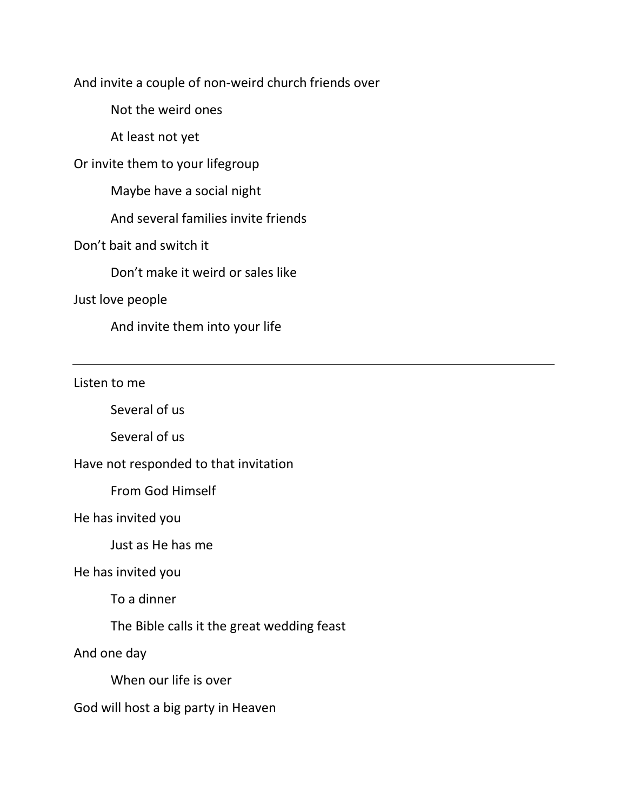And invite a couple of non-weird church friends over

Not the weird ones

At least not yet

Or invite them to your lifegroup

Maybe have a social night

And several families invite friends

Don't bait and switch it

Don't make it weird or sales like

## Just love people

And invite them into your life

Listen to me

Several of us

Several of us

Have not responded to that invitation

From God Himself

He has invited you

Just as He has me

He has invited you

To a dinner

The Bible calls it the great wedding feast

And one day

When our life is over

God will host a big party in Heaven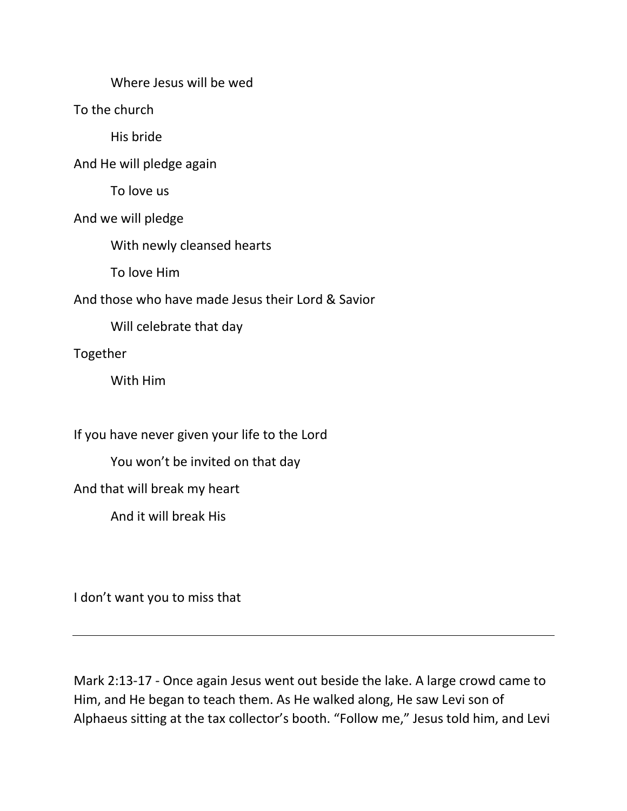Where Jesus will be wed

To the church

His bride

And He will pledge again

To love us

And we will pledge

With newly cleansed hearts

To love Him

And those who have made Jesus their Lord & Savior

Will celebrate that day

Together

With Him

If you have never given your life to the Lord

You won't be invited on that day

And that will break my heart

And it will break His

I don't want you to miss that

Mark 2:13-17 - Once again Jesus went out beside the lake. A large crowd came to Him, and He began to teach them. As He walked along, He saw Levi son of Alphaeus sitting at the tax collector's booth. "Follow me," Jesus told him, and Levi